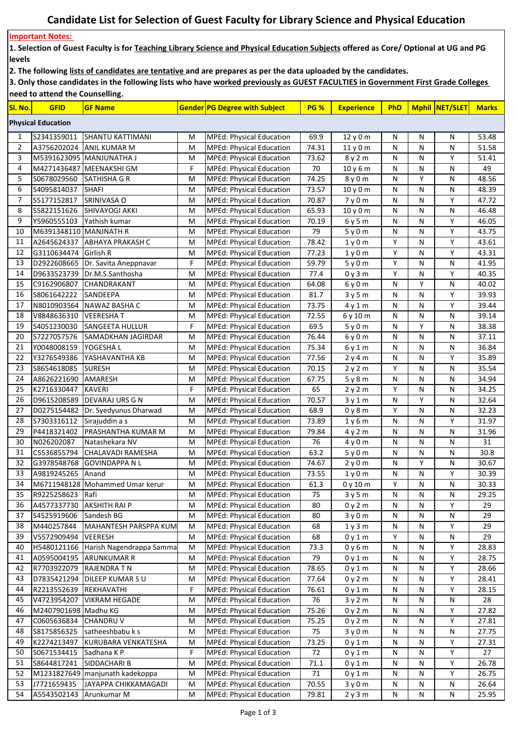## **Candidate List for Selection of Guest Faculty for Library Science and Physical Education**

## **Important Notes:**

**1. Selection of Guest Faculty is for Teaching Library Science and Physical Education Subjects offered as Core/ Optional at UG and PG levels**

**2. The following lists of candidates are tentative and are prepares as per the data uploaded by the candidates.** 

**3. Only those candidates in the following lists who have worked previously as GUEST FACULTIES in Government First Grade Colleges need to attend the Counselling.**

| <mark>Sl. No.</mark>      | <b>GFID</b>            | <b>GF Name</b>                  |   | <b>Gender PG Degree with Subject</b> | <b>PG %</b> | <b>Experience</b> | PhD |   | Mphil NET/SLET | <b>Marks</b> |
|---------------------------|------------------------|---------------------------------|---|--------------------------------------|-------------|-------------------|-----|---|----------------|--------------|
| <b>Physical Education</b> |                        |                                 |   |                                      |             |                   |     |   |                |              |
| 1                         | S2341359011            | SHANTU KATTIMANI                | M | <b>MPEd: Physical Education</b>      | 69.9        | 12y0m             | N   | N | N              | 53.48        |
| $\overline{2}$            | A3756202024            | <b>ANIL KUMAR M</b>             | M | <b>MPEd: Physical Education</b>      | 74.31       | 11y0m             | N   | N | N              | 51.58        |
| 3                         |                        | M5391623095 MANJUNATHA J        | M | <b>MPEd: Physical Education</b>      | 73.62       | 8 y 2 m           | N   | N | Y              | 51.41        |
| 4                         |                        | M4271436487 MEENAKSHI GM        | F | <b>MPEd: Physical Education</b>      | 70          | 10y6m             | N   | N | N              | 49           |
| 5                         | S0678029560            | SATHISHA G R                    | M | <b>MPEd: Physical Education</b>      | 74.25       | 8 y 0 m           | N   | Υ | N              | 48.56        |
| 6                         | S4095814037            | <b>SHAFI</b>                    | M | <b>MPEd: Physical Education</b>      | 73.57       | 10y0m             | N   | N | N              | 48.39        |
| 7                         | S5177152817            | SRINIVASA O                     | M | <b>MPEd: Physical Education</b>      | 70.87       | 7y0m              | N   | N | Υ              | 47.72        |
| 8                         | S5822151626            | <b>SHIVAYOGI AKKI</b>           | M | <b>MPEd: Physical Education</b>      | 65.93       | 10y0m             | N   | N | N              | 46.48        |
| 9                         | Y5960555103            | Yathish kumar                   | M | <b>MPEd: Physical Education</b>      | 70.19       | 6 y 5 m           | Ν   | N | Y              | 46.05        |
| 10                        | M6391348110 MANJNATH R |                                 | M | <b>MPEd: Physical Education</b>      | 79          | 5 y 0 m           | Ν   | N | Y              | 43.75        |
| 11                        | A2645624337            | ABHAYA PRAKASH C                | M | <b>MPEd: Physical Education</b>      | 78.42       | 1y0m              | Υ   | N | Y              | 43.61        |
| 12                        | G3110634474            | <b>I</b> Girlish R              | M | <b>MPEd: Physical Education</b>      | 77.23       | 1y0m              | Υ   | N | Y              | 43.31        |
| 13                        | D2922608665            | Dr. Savita Aneppnavar           | F | <b>MPEd: Physical Education</b>      | 59.79       | 5 y 0 m           | Υ   | N | N              | 41.95        |
| 14                        | D9633523739            | Dr.M.S.Santhosha                | M | <b>MPEd: Physical Education</b>      | 77.4        | 0 y 3 m           | Υ   | N | Y              | 40.35        |
| 15                        | C9162906807            | <b>CHANDRAKANT</b>              | M | <b>MPEd: Physical Education</b>      | 64.08       | 6 y 0 m           | N   | Υ | N              | 40.02        |
| 16                        | S8061642222            | <b>SANDEEPA</b>                 | M | <b>MPEd: Physical Education</b>      | 81.7        | 3 y 5 m           | N   | N | Y              | 39.93        |
| 17                        |                        | N8010903564 NAWAZ BASHA C       | M | <b>MPEd: Physical Education</b>      | 73.75       | 4 y 1 m           | N   | N | Y              | 39.44        |
| 18                        | V8848636310            | <b>VEERESHAT</b>                | M | <b>MPEd: Physical Education</b>      | 72.55       | 6y10m             | N   | N | N              | 39.14        |
| 19                        | S4051230030            | <b>SANGEETA HULLUR</b>          | F | <b>MPEd: Physical Education</b>      | 69.5        | 5y0m              | N   | Υ | N              | 38.38        |
| 20                        | S7227057576            | SAMADKHAN JAGIRDAR              | M | <b>MPEd: Physical Education</b>      | 76.44       | 6y0m              | N   | N | N              | 37.11        |
| 21                        | Y0048008159            | YOGESHA L                       | M | <b>MPEd: Physical Education</b>      | 75.34       | 6 y 1 m           | Ν   | N | N              | 36.84        |
| 22                        | Y3276549386            | YASHAVANTHA KB                  | M | <b>MPEd: Physical Education</b>      | 77.56       | 2 y 4 m           | N   | N | Υ              | 35.89        |
| 23                        | \$8654618085           | <b>SURESH</b>                   | M | <b>MPEd: Physical Education</b>      | 70.15       | 2 y 2 m           | Υ   | N | N              | 35.54        |
| 24                        | A8626221690            | AMARESH                         | M | <b>MPEd: Physical Education</b>      | 67.75       | 5 y 8 m           | N   | N | N              | 34.94        |
| 25                        | K2716330447            | <b>KAVERI</b>                   | F | <b>MPEd: Physical Education</b>      | 65          | 2 y 2 m           | Υ   | N | N              | 34.25        |
| 26                        | D9615208589            | <b>DEVARAJ URS G N</b>          | M | <b>MPEd: Physical Education</b>      | 70.57       | 3 y 1 m           | Ν   | Υ | N              | 32.64        |
| 27                        | D0275154482            | Dr. Syedyunus Dharwad           | M | <b>MPEd: Physical Education</b>      | 68.9        | 0 y 8 m           | Υ   | N | N              | 32.23        |
| 28                        | S7303316112            | Sirajuddin a s                  | M | MPEd: Physical Education             | 73.89       | 1 y 6 m           | N   | N | Υ              | 31.97        |
| 29                        | P4418321402            | PRASHANTHA KUMAR M              | M | <b>MPEd: Physical Education</b>      | 79.84       | 4 y 2 m           | Ν   | N | N              | 31.96        |
| 30                        | N026202087             | Natashekara NV                  | M | <b>MPEd: Physical Education</b>      | 76          | 4 y 0 m           | N   | N | N              | 31           |
| 31                        | C5536855794            | CHALAVADI RAMESHA               | M | <b>MPEd: Physical Education</b>      | 63.2        | 5y0m              | N   | N | N              | 30.8         |
| 32                        | G3978548768            | <b>GOVINDAPPA N L</b>           | M | <b>MPEd: Physical Education</b>      | 74.67       | 2y0m              | N   | Υ | N              | 30.67        |
| 33                        | A9819245265            | Anand                           | M | <b>MPEd: Physical Education</b>      | 73.55       | 1 y 0 m           | N   | N | Υ              | 30.39        |
| 34                        |                        | M6711948128 Mohammed Umar kerur | M | <b>MPEd: Physical Education</b>      | 61.3        | 0y10m             | Y   | N | N              | 30.33        |
| 35                        | R9225258623            | Rafi                            | M | MPEd: Physical Education             | 75          | 3y5m              | Ν   | N | N              | 29.25        |
| 36                        | A4577337730            | <b>AKSHITH RAI P</b>            | M | <b>MPEd: Physical Education</b>      | 80          | 0y2m              | Ν   | N | Y              | 29           |
| 37                        | S4525919606            | Sandesh BG                      | M | <b>MPEd: Physical Education</b>      | 80          | 3y0m              | Ν   | Ν | N              | 29           |
| 38                        | M440257844             | MAHANTESH PARSPPA KUM           | M | <b>MPEd: Physical Education</b>      | 68          | 1y3m              | Ν   | N | Y              | 29           |
| 39                        | V5572909494            | VEERESH                         | M | <b>MPEd: Physical Education</b>      | 68          | 0 y 1 m           | Υ   | N | N              | 29           |
| 40                        | H5480121166            | Harish Nagendrappa Samma        | M | <b>MPEd: Physical Education</b>      | 73.3        | 0 y 6 m           | Ν   | N | Y              | 28.83        |
| 41                        | A0595004195            | <b>ARUNKUMAR R</b>              | M | <b>MPEd: Physical Education</b>      | 79          | 0y1m              | N   | N | Y              | 28.75        |
| 42                        | R7703922079            | RAJENDRA T N                    | M | <b>MPEd: Physical Education</b>      | 78.65       | 0 y 1 m           | N   | Ν | Y              | 28.66        |
| 43                        | D7835421294            | <b>DILEEP KUMARSU</b>           | M | <b>MPEd: Physical Education</b>      | 77.64       | 0 y 2 m           | Ν   | Ν | Y              | 28.41        |
| 44                        | R2213552639            | REKHAVATHI                      | F | <b>MPEd: Physical Education</b>      | 76.61       | 0 y 1 m           | N   | Ν | Υ              | 28.15        |
| 45                        | V4723954207            | <b>VIKRAM HEGADE</b>            | M | <b>MPEd: Physical Education</b>      | 76          | 3 y 2 m           | N   | Ν | N              | 28           |
| 46                        | M2407901698 Madhu KG   |                                 | M | <b>MPEd: Physical Education</b>      | 75.26       | 0 y 2 m           | N   | Ν | Υ              | 27.82        |
| 47                        | C0605636834            | <b>CHANDRUV</b>                 | M | <b>MPEd: Physical Education</b>      | 75.25       | 0 y 2 m           | N   | Ν | Υ              | 27.81        |
| 48                        | S8175856325            | satheeshbabu k s                | M | <b>MPEd: Physical Education</b>      | 75          | 3y0m              | Ν   | Ν | N              | 27.75        |
| 49                        | K2274213497            | KURUBARA VENKATESHA             | M | <b>MPEd: Physical Education</b>      | 73.25       | 0y1m              | Ν   | Ν | Υ              | 27.31        |
| 50                        | S0671534415            | Sadhana K P                     | F | <b>MPEd: Physical Education</b>      | 72          | 0y1m              | Ν   | N | Υ              | 27           |
| 51                        | S8644817241            | SIDDACHARI B                    | M | <b>MPEd: Physical Education</b>      | 71.1        | 0y1m              | N   | N | Υ              | 26.78        |
| 52                        |                        | M1231827649 manjunath kadekoppa | M | <b>MPEd: Physical Education</b>      | 71          | 0y1m              | N   | N | Y              | 26.75        |
| 53                        | J7721659435            | JAYAPPA CHIKKAMAGADI            | M | <b>MPEd: Physical Education</b>      | 70.55       | 3 y 0 m           | Ν   | Ν | N              | 26.64        |
| 54                        | A5543502143            | Arunkumar M                     | M | <b>MPEd: Physical Education</b>      | 79.81       | 2y3m              | Ν   | Ν | N              | 25.95        |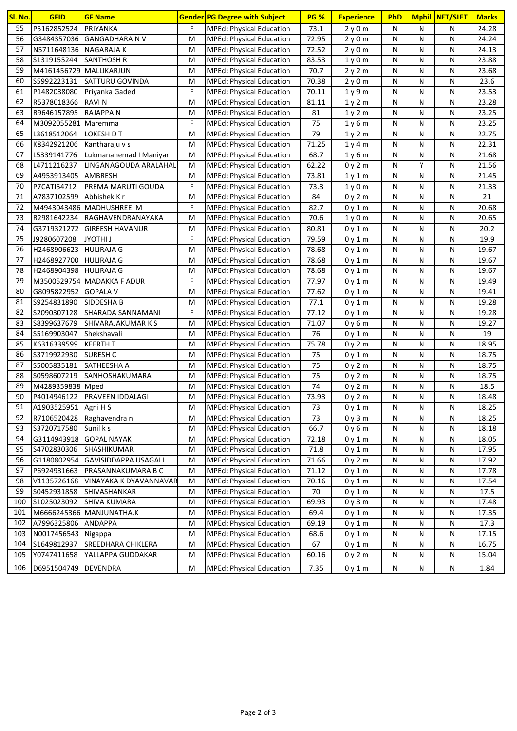| SI. No. | <b>GFID</b>             | <b>GF Name</b>               |   | <b>Gender PG Degree with Subject</b> | <b>PG %</b> | <b>Experience</b>             | PhD |           | Mphil NET/SLET | <b>Marks</b> |
|---------|-------------------------|------------------------------|---|--------------------------------------|-------------|-------------------------------|-----|-----------|----------------|--------------|
| 55      | P5162852524             | PRIYANKA                     | F | <b>MPEd: Physical Education</b>      | 73.1        | 2y0m                          | N   | N         | N              | 24.28        |
| 56      |                         | G3484357036 GANGADHARA N V   | M | <b>MPEd: Physical Education</b>      | 72.95       | 2y0m                          | N   | N         | N              | 24.24        |
| 57      | N5711648136 NAGARAJA K  |                              | м | <b>MPEd: Physical Education</b>      | 72.52       | 2y0m                          | N   | N         | N              | 24.13        |
| 58      | S1319155244             | <b>SANTHOSH R</b>            | M | <b>MPEd: Physical Education</b>      | 83.53       | 1 <sub>V</sub> 0 <sub>m</sub> | N   | N         | N              | 23.88        |
| 59      | M4161456729 MALLIKARJUN |                              | M | MPEd: Physical Education             | 70.7        | 2y2m                          | N   | N         | N              | 23.68        |
| 60      | S5992223131             | <b>SATTURU GOVINDA</b>       | M | <b>MPEd: Physical Education</b>      | 70.38       | 2y0m                          | N   | N         | N              | 23.6         |
| 61      | P1482038080             | Priyanka Gaded               | F | <b>MPEd: Physical Education</b>      | 70.11       | 1y9m                          | N   | N         | N              | 23.53        |
| 62      | R5378018366 RAVIN       |                              | M | <b>MPEd: Physical Education</b>      | 81.11       | 1y2m                          | N   | N         | N              | 23.28        |
| 63      | R9646157895             | RAJAPPA N                    | M | <b>MPEd: Physical Education</b>      | 81          | 1y2m                          | N   | N         | N              | 23.25        |
| 64      | M3092055281 Maremma     |                              | F | <b>MPEd: Physical Education</b>      | 75          | 1 y 6 m                       | N   | N         | N              | 23.25        |
| 65      | L3618512064             | LOKESH D T                   | M | <b>MPEd: Physical Education</b>      | 79          | 1y2m                          | N   | N         | N              | 22.75        |
| 66      | K8342921206             | Kantharaju v s               | M | <b>MPEd: Physical Education</b>      | 71.25       | 1 y 4 m                       | N   | N         | N              | 22.31        |
| 67      | L5339141776             | Lukmanahemad I Maniyar       | М | <b>MPEd: Physical Education</b>      | 68.7        | 1 y 6 m                       | N   | N         | N              | 21.68        |
| 68      | L4711216237             | LINGANAGOUDA ARALAHAL        | м | <b>MPEd: Physical Education</b>      | 62.22       | 0y2m                          | N   | Υ         | N              | 21.56        |
| 69      | A4953913405             | AMBRESH                      | М | <b>MPEd: Physical Education</b>      | 73.81       | 1 y 1 m                       | N   | N         | N              | 21.45        |
| 70      | P7CATI54712             | PREMA MARUTI GOUDA           | F | MPEd: Physical Education             | 73.3        | 1 y 0 m                       | N   | N         | N              | 21.33        |
| 71      | A7837102599             | Abhishek K r                 | М | MPEd: Physical Education             | 84          | 0y2m                          | N   | N         | N              | 21           |
| 72      |                         | M4943043486 MADHUSHREE M     | F | <b>MPEd: Physical Education</b>      | 82.7        | 0 y 1 m                       | N   | N         | N              | 20.68        |
| 73      | R2981642234             | <b>RAGHAVENDRANAYAKA</b>     | M | <b>MPEd: Physical Education</b>      | 70.6        | 1 y 0 m                       | N   | N         | N              | 20.65        |
| 74      | G3719321272             | <b>GIREESH HAVANUR</b>       | м | <b>MPEd: Physical Education</b>      | 80.81       | 0 y 1 m                       | N   | N         | N              | 20.2         |
| 75      | J9280607208             | <b>JYOTHI J</b>              | F | <b>MPEd: Physical Education</b>      | 79.59       | 0 y 1 m                       | N   | N         | N              | 19.9         |
| 76      | H2468906623             | HULIRAJA G                   | M | <b>MPEd: Physical Education</b>      | 78.68       | 0 y 1 m                       | N   | N         | N              | 19.67        |
| 77      | H2468927700             | <b>HULIRAJA G</b>            | M | <b>MPEd: Physical Education</b>      | 78.68       | 0 y 1 m                       | N   | N         | N              | 19.67        |
| 78      | H2468904398             | <b>HULIRAJA G</b>            | M | <b>MPEd: Physical Education</b>      | 78.68       | 0 y 1 m                       | N   | N         | N              | 19.67        |
| 79      |                         | M3500529754 MADAKKA F ADUR   | F | <b>MPEd: Physical Education</b>      | 77.97       | 0 y 1 m                       | N   | N         | N              | 19.49        |
| 80      | G8095822952 GOPALA V    |                              | м | <b>MPEd: Physical Education</b>      | 77.62       | 0 y 1 m                       | N   | N         | N              | 19.41        |
| 81      | S9254831890             | SIDDESHA B                   | м | <b>MPEd: Physical Education</b>      | 77.1        | 0 y 1 m                       | N   | N         | Ν              | 19.28        |
| 82      | S2090307128             | SHARADA SANNAMANI            | F | <b>MPEd: Physical Education</b>      | 77.12       | 0 y 1 m                       | N   | N         | N              | 19.28        |
| 83      | S8399637679             | SHIVARAJAKUMAR K S           | M | <b>MPEd: Physical Education</b>      | 71.07       | 0 y 6 m                       | N   | ${\sf N}$ | N              | 19.27        |
| 84      | S5169903047             | Shekshavali                  | M | <b>MPEd: Physical Education</b>      | 76          | 0y1m                          | N   | N         | N              | 19           |
| 85      | K6316339599             | <b>KEERTH T</b>              | M | <b>MPEd: Physical Education</b>      | 75.78       | 0y2m                          | N   | N         | N              | 18.95        |
| 86      | S3719922930             | <b>SURESH C</b>              | M | <b>MPEd: Physical Education</b>      | 75          | 0y1m                          | N   | ${\sf N}$ | N              | 18.75        |
| 87      | S5005835181             | SATHEESHA A                  | M | <b>MPEd: Physical Education</b>      | 75          | 0y2m                          | N   | N         | N              | 18.75        |
| 88      | S0598607219             | SANHOSHAKUMARA               | M | <b>MPEd: Physical Education</b>      | 75          | 0y2m                          | N   | N         | N              | 18.75        |
| 89      | M4289359838 Mped        |                              | M | <b>MPEd: Physical Education</b>      | 74          | 0y2m                          | N   | N         | Ν              | 18.5         |
| 90      |                         | P4014946122 PRAVEEN IDDALAGI | M | MPEd: Physical Education             | 73.93       | 0y2m                          | N   | ${\sf N}$ | N              | 18.48        |
| 91      | A1903525951             | Agni H S                     | Μ | MPEd: Physical Education             | 73          | 0y1m                          | N   | N         | Ν              | 18.25        |
| 92      | R7106520428             | Raghavendra n                | M | MPEd: Physical Education             | 73          | 0y3m                          | N   | N         | N              | 18.25        |
| 93      | S3720717580             | Sunil k s                    | M | MPEd: Physical Education             | 66.7        | 0y6m                          | N   | N         | Ν              | 18.18        |
| 94      | G3114943918             | <b>GOPAL NAYAK</b>           | М | MPEd: Physical Education             | 72.18       | 0y1m                          | N   | N         | Ν              | 18.05        |
| 95      | S4702830306             | SHASHIKUMAR                  | М | <b>MPEd: Physical Education</b>      | 71.8        | 0y1m                          | N   | N         | Ν              | 17.95        |
| 96      | G1180802954             | GAVISIDDAPPA USAGALI         | М | MPEd: Physical Education             | 71.66       | 0y2m                          | N   | N         | N              | 17.92        |
| 97      | P6924931663             | <b>PRASANNAKUMARA B C</b>    | M | MPEd: Physical Education             | 71.12       | 0y1m                          | N   | N         | N              | 17.78        |
| 98      | V1135726168             | VINAYAKA K DYAVANNAVAR       | М | MPEd: Physical Education             | 70.16       | 0y1m                          | N   | N         | N              | 17.54        |
| 99      | S0452931858             | SHIVASHANKAR                 | M | MPEd: Physical Education             | 70          | 0y1m                          | N   | N         | Ν              | 17.5         |
| 100     | S1025023092             | <b>SHIVA KUMARA</b>          | M | MPEd: Physical Education             | 69.93       | 0y3m                          | N   | N         | Ν              | 17.48        |
| 101     |                         | M6666245366 MANJUNATHA.K     | M | MPEd: Physical Education             | 69.4        | 0y1m                          | N   | N         | Ν              | 17.35        |
| 102     | A7996325806 ANDAPPA     |                              | M | MPEd: Physical Education             | 69.19       | 0y1m                          | N   | N         | N              | 17.3         |
| 103     | N0017456543 Nigappa     |                              | M | MPEd: Physical Education             | 68.6        | 0y1m                          | N   | N         | N              | 17.15        |
| 104     | S1649812937             | <b>SREEDHARA CHIKLERA</b>    | M | MPEd: Physical Education             | 67          | 0y1m                          | N   | N         | N              | 16.75        |
| 105     | Y0747411658             | YALLAPPA GUDDAKAR            | M | <b>MPEd: Physical Education</b>      | 60.16       | 0y2m                          | N   | N         | Ν              | 15.04        |
| 106     | D6951504749 DEVENDRA    |                              | М | <b>MPEd: Physical Education</b>      | 7.35        | 0y1m                          | N   | N         | N              | 1.84         |